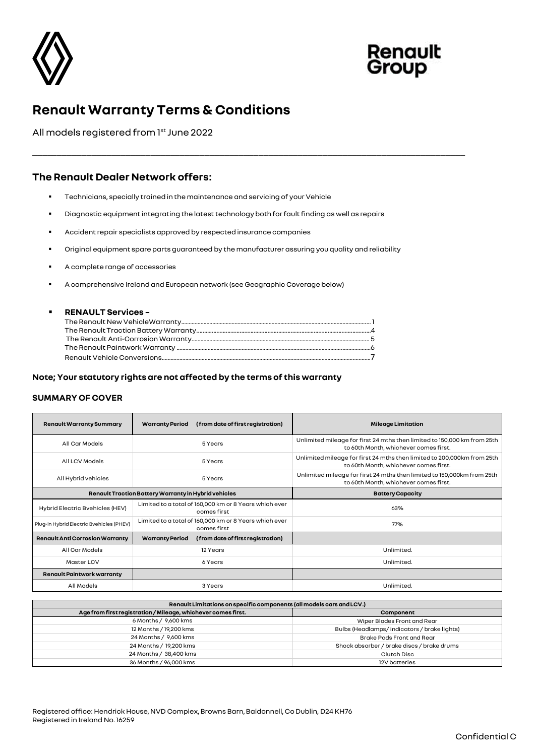



# **Renault Warranty Terms & Conditions**

All models registered from 1<sup>st</sup> June 2022

# **The Renault Dealer Network offers:**

- Technicians, specially trained in the maintenance and servicing of your Vehicle
- Diagnostic equipment integrating the latest technology both for fault finding as well as repairs
- Accident repair specialists approved by respected insurance companies
- Original equipment spare parts quaranteed by the manufacturer assuring you quality and reliability

\_\_\_\_\_\_\_\_\_\_\_\_\_\_\_\_\_\_\_\_\_\_\_\_\_\_\_\_\_\_\_\_\_\_\_\_\_\_\_\_\_\_\_\_\_\_\_\_\_\_\_\_\_\_\_\_\_\_\_\_\_\_\_\_\_\_\_\_\_\_\_\_\_\_\_\_\_\_\_\_\_\_\_\_\_\_\_\_

- A complete range of accessories
- A comprehensive Ireland and European network (see Geographic Coverage below)

#### ▪ **RENAULT Services –**

#### **Note; Your statutory rights are not affected by the terms of this warranty**

### **SUMMARY OF COVER**

| <b>Renault Warranty Summary</b>          | (from date of first registration)<br><b>Warranty Period</b>           | <b>Mileage Limitation</b>                                                                                         |
|------------------------------------------|-----------------------------------------------------------------------|-------------------------------------------------------------------------------------------------------------------|
| All Car Models                           | 5 Years                                                               | Unlimited mileage for first 24 mths then limited to 150,000 km from 25th<br>to 60th Month, whichever comes first. |
| All LCV Models                           | 5 Years                                                               | Unlimited mileage for first 24 mths then limited to 200,000km from 25th<br>to 60th Month, whichever comes first.  |
| All Hybrid vehicles                      | 5 Years                                                               | Unlimited mileage for first 24 mths then limited to 150,000km from 25th<br>to 60th Month, whichever comes first.  |
|                                          | Renault Traction Battery Warranty in Hybrid vehicles                  | <b>Battery Capacity</b>                                                                                           |
| Hybrid Electric Bvehicles (HEV)          | Limited to a total of 160,000 km or 8 Years which ever<br>comes first | 63%                                                                                                               |
| Plug-in Hybrid Electric Bvehicles (PHEV) | Limited to a total of 160,000 km or 8 Years which ever<br>comes first | 77%                                                                                                               |
| <b>Renault Anti Corrosion Warranty</b>   | (from date of first registration)<br><b>Warranty Period</b>           |                                                                                                                   |
| All Car Models                           | 12 Years                                                              | Unlimited.                                                                                                        |
| <b>Master LCV</b>                        | 6 Years                                                               | Unlimited.                                                                                                        |
| <b>Renault Paintwork warranty</b>        |                                                                       |                                                                                                                   |
|                                          |                                                                       |                                                                                                                   |

| Renault Limitations on specific components (all models cars and LCV.) |                                            |  |  |
|-----------------------------------------------------------------------|--------------------------------------------|--|--|
| Age from first registration / Mileage, whichever comes first.         | Component                                  |  |  |
| 6 Months / 9,600 kms                                                  | Wiper Blades Front and Rear                |  |  |
| 12 Months / 19,200 kms                                                | Bulbs (Headlamps/indicators/brakelights)   |  |  |
| 24 Months / 9,600 kms                                                 | Brake Pads Front and Rear                  |  |  |
| 24 Months / 19,200 kms                                                | Shock absorber / brake discs / brake drums |  |  |
| 24 Months / 38,400 kms                                                | Clutch Disc                                |  |  |
| 36 Months / 96,000 kms                                                | 12V batteries                              |  |  |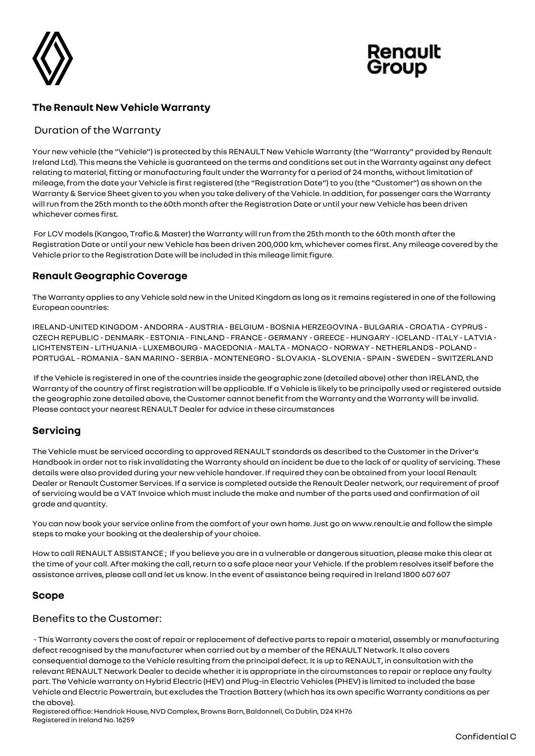



# **The Renault New Vehicle Warranty**

## Duration of the Warranty

Your new vehicle (the "Vehicle") is protected by this RENAULT New Vehicle Warranty (the "Warranty" provided by Renault Ireland Ltd). This means the Vehicle is guaranteed on the terms and conditions set out in the Warranty against any defect relating to material, fitting or manufacturing fault under the Warranty for a period of 24 months, without limitation of mileage, from the date your Vehicle is first registered (the "Registration Date") to you (the "Customer") as shown on the Warranty & Service Sheet given to you when you take delivery of the Vehicle. In addition, for passenger cars the Warranty will run from the 25th month to the 60th month after the Registration Date or until your new Vehicle has been driven whichever comes first.

For LCV models (Kangoo, Trafic & Master) the Warranty will run from the 25th month to the 60th month after the Registration Date or until your new Vehicle has been driven 200,000 km, whichever comes first. Any mileage covered by the Vehicle prior to the Registration Date will be included in this mileage limit figure.

# **Renault Geographic Coverage**

The Warranty applies to any Vehicle sold new in the United Kingdom as long as it remains registered in one of the following European countries:

IRELAND-UNITED KINGDOM - ANDORRA - AUSTRIA - BELGIUM - BOSNIA HERZEGOVINA - BULGARIA - CROATIA - CYPRUS - CZECH REPUBLIC - DENMARK - ESTONIA - FINLAND - FRANCE - GERMANY - GREECE - HUNGARY -ICELAND -ITALY - LATVIA - LICHTENSTEIN - LITHUANIA - LUXEMBOURG - MACEDONIA - MALTA - MONACO - NORWAY - NETHERLANDS - POLAND - PORTUGAL - ROMANIA - SAN MARINO - SERBIA - MONTENEGRO - SLOVAKIA - SLOVENIA - SPAIN - SWEDEN – SWITZERLAND

If the Vehicle is registered in one of the countries inside the geographic zone (detailed above) other than IRELAND, the Warranty of the country of first registration will be applicable. If a Vehicle is likely to be principally used or registered outside the geographic zone detailed above, the Customer cannot benefit from the Warranty and the Warranty will be invalid. Please contact your nearest RENAULT Dealer for advice in these circumstances

# **Servicing**

The Vehicle must be serviced according to approved RENAULT standards as described to the Customer in the Driver's Handbook in order not to risk invalidating the Warranty should an incident be due to the lack of or quality of servicing. These details were also provided during your new vehicle handover. If required they can be obtained from your local Renault Dealer or Renault Customer Services. If a service is completed outside the Renault Dealer network, our requirement of proof of servicing would be a VAT Invoice which must include the make and number of the parts used and confirmation of oil grade and quantity.

You can now book your service online from the comfort of your own home. Just go on www.renault.ie and follow the simple steps to make your booking at the dealership of your choice.

How to call RENAULT ASSISTANCE ; If you believe you are in a vulnerable or dangerous situation, please make this clear at the time of your call. After making the call, return to a safe place near your Vehicle. If the problem resolves itself before the assistance arrives, please call and let us know. In the event of assistance being required in Ireland 1800 607 607

### **Scope**

### Benefits to the Customer:

- This Warranty covers the cost of repair or replacement of defective parts to repair a material, assembly or manufacturing defect recognised by the manufacturer when carried out by a member of the RENAULT Network. It also covers consequential damage to the Vehicle resulting from the principal defect. It is up to RENAULT, in consultation with the relevant RENAULT Network Dealer to decide whether it is appropriate in the circumstances to repair or replace any faulty part. The Vehicle warranty on Hybrid Electric (HEV) and Plug-in Electric Vehicles (PHEV) is limited to included the base Vehicle and Electric Powertrain, but excludes the Traction Battery (which has its own specific Warranty conditions as per the above).

Registered office: Hendrick House, NVD Complex, Browns Barn, Baldonnell, Co Dublin, D24 KH76 Registered in Ireland No. 16259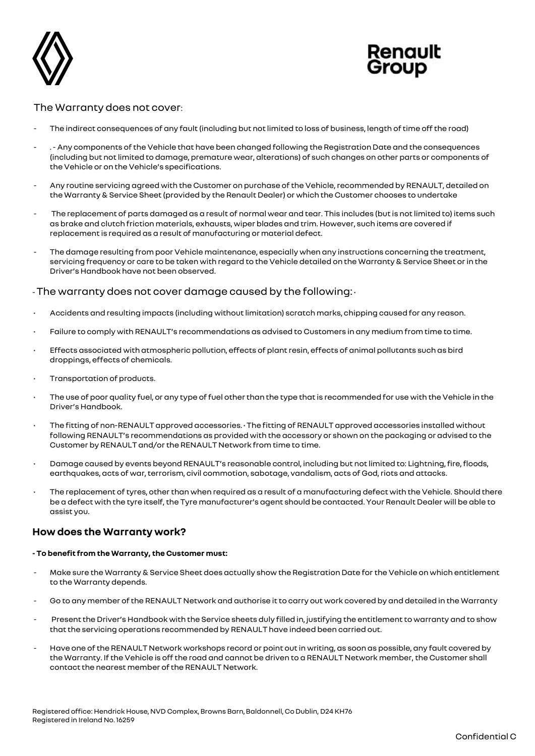



### The Warranty does not cover:

- The indirect consequences of any fault (including but not limited to loss of business, length of time off the road)
- . Any components of the Vehicle that have been changed following the Registration Date and the consequences (including but not limited to damage, premature wear, alterations) of such changes on other parts or components of the Vehicle or on the Vehicle's specifications.
- Any routine servicing agreed with the Customer on purchase of the Vehicle, recommended by RENAULT, detailed on the Warranty & Service Sheet (provided by the Renault Dealer) or which the Customer chooses to undertake
- The replacement of parts damaged as a result of normal wear and tear. This includes (but is not limited to) items such as brake and clutch friction materials, exhausts, wiper blades and trim. However, such items are covered if replacement is required as a result of manufacturing or material defect.
- The damage resulting from poor Vehicle maintenance, especially when any instructions concerning the treatment, servicing frequency or care to be taken with regard to the Vehicle detailed on the Warranty & Service Sheet or in the Driver's Handbook have not been observed.

### -The warranty does not cover damage caused by the following: •

- Accidents and resulting impacts (including without limitation) scratch marks, chipping caused for any reason.
- Failure to comply with RENAULT's recommendations as advised to Customers in any medium from time to time.
- Effects associated with atmospheric pollution, effects of plant resin, effects of animal pollutants such as bird droppings, effects of chemicals.
- Transportation of products.
- The use of poor quality fuel, or any type of fuel other than the type that is recommended for use with the Vehicle in the Driver's Handbook.
- The fitting of non-RENAULT approved accessories. The fitting of RENAULT approved accessories installed without following RENAULT's recommendations as provided with the accessory or shown on the packaging or advised to the Customer by RENAULT and/or the RENAULT Network from time to time.
- Damage caused by events beyond RENAULT's reasonable control, including but not limited to: Lightning, fire, floods, earthquakes, acts of war, terrorism, civil commotion, sabotage, vandalism, acts of God, riots and attacks.
- The replacement of tyres, other than when required as a result of a manufacturing defect with the Vehicle. Should there be a defect with the tyre itself, the Tyre manufacturer's agent should be contacted. Your Renault Dealer will be able to assist you.

### **How does the Warranty work?**

#### **- To benefit from the Warranty, the Customer must:**

- Make sure the Warranty & Service Sheet does actually show the Registration Date for the Vehicle on which entitlement to the Warranty depends.
- Go to any member of the RENAULT Network and authorise it to carry out work covered by and detailed in the Warranty
- Present the Driver's Handbook with the Service sheets duly filled in, justifying the entitlement to warranty and to show that the servicing operations recommended by RENAULT have indeed been carried out.
- Have one of the RENAULT Network workshops record or point out in writing, as soon as possible, any fault covered by the Warranty. If the Vehicle is off the road and cannot be driven to a RENAULT Network member, the Customer shall contact the nearest member of the RENAULT Network.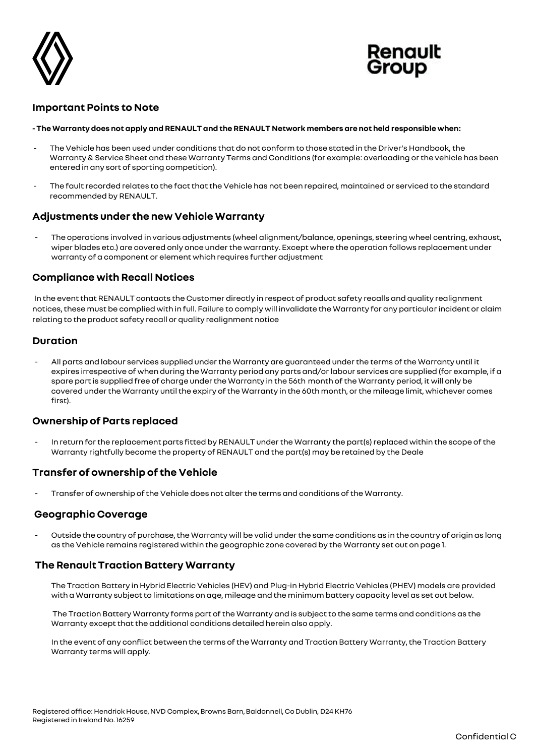



### **Important Points to Note**

#### **- The Warranty does not apply and RENAULT and the RENAULT Network members are not held responsible when:**

- The Vehicle has been used under conditions that do not conform to those stated in the Driver's Handbook, the Warranty & Service Sheet and these Warranty Terms and Conditions (for example: overloading or the vehicle has been entered in any sort of sporting competition).
- The fault recorded relates to the fact that the Vehicle has not been repaired, maintained or serviced to the standard recommended by RENAULT.

# **Adjustments under the new Vehicle Warranty**

The operations involved in various adjustments (wheel alignment/balance, openings, steering wheel centring, exhaust, wiper blades etc.) are covered only once under the warranty. Except where the operation follows replacement under warranty of a component or element which requires further adjustment

### **Compliance with Recall Notices**

In the event that RENAULT contacts the Customer directly in respect of product safety recalls and quality realignment notices, these must be complied with in full. Failure to comply will invalidate the Warranty for any particular incident or claim relating to the product safety recall or quality realignment notice

### **Duration**

- All parts and labour services supplied under the Warranty are guaranteed under the terms of the Warranty until it expires irrespective of when during the Warranty period any parts and/or labour services are supplied (for example, if a spare part is supplied free of charge under the Warranty in the 56th month of the Warranty period, it will only be covered under the Warranty until the expiry of the Warranty in the 60th month, or the mileage limit, whichever comes first).

### **Ownership of Parts replaced**

In return for the replacement parts fitted by RENAULT under the Warranty the part(s) replaced within the scope of the Warranty rightfully become the property of RENAULT and the part(s) may be retained by the Deale

### **Transfer of ownership of the Vehicle**

- Transfer of ownership of the Vehicle does not alter the terms and conditions of the Warranty.

### **Geographic Coverage**

Outside the country of purchase, the Warranty will be valid under the same conditions as in the country of origin as long as the Vehicle remains registered within the geographic zone covered by the Warranty set out on page 1.

### **The Renault Traction Battery Warranty**

The Traction Battery in Hybrid Electric Vehicles (HEV) and Plug-in Hybrid Electric Vehicles (PHEV) models are provided with a Warranty subject to limitations on age, mileage and the minimum battery capacity level as set out below.

The Traction Battery Warranty forms part of the Warranty and is subject to the same terms and conditions as the Warranty except that the additional conditions detailed herein also apply.

In the event of any conflict between the terms of the Warranty and Traction Battery Warranty, the Traction Battery Warranty terms will apply.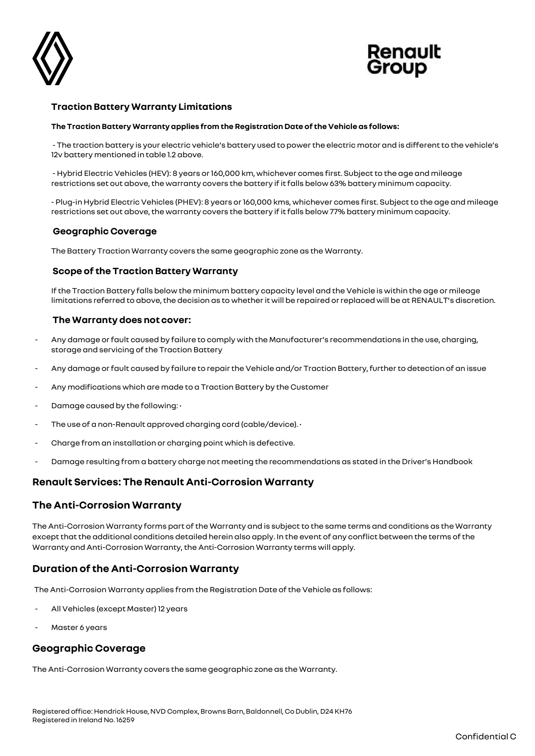



### **Traction Battery Warranty Limitations**

#### **The Traction Battery Warranty applies from the Registration Date of the Vehicle as follows:**

- The traction battery is your electric vehicle's battery used to power the electric motor and is different to the vehicle's 12v battery mentioned in table 1.2 above.

- Hybrid Electric Vehicles (HEV): 8 years or 160,000 km, whichever comes first. Subject to the age and mileage restrictions set out above, the warranty covers the battery if it falls below 63% battery minimum capacity.

- Plug-in Hybrid Electric Vehicles (PHEV): 8 years or 160,000 kms, whichever comes first. Subject to the age and mileage restrictions set out above, the warranty covers the battery if it falls below 77% battery minimum capacity.

#### **Geographic Coverage**

The Battery Traction Warranty covers the same geographic zone as the Warranty.

### **Scope of the Traction Battery Warranty**

If the Traction Battery falls below the minimum battery capacity level and the Vehicle is within the age or mileage limitations referred to above, the decision as to whether it will be repaired or replaced will be at RENAULT's discretion.

#### **The Warranty does not cover:**

- Any damage or fault caused by failure to comply with the Manufacturer's recommendations in the use, charging, storage and servicing of the Traction Battery
- Any damage or fault caused by failure to repair the Vehicle and/or Traction Battery, further to detection of an issue
- Any modifications which are made to a Traction Battery by the Customer
- Damage caused by the following: •
- The use of a non-Renault approved charging cord (cable/device). •
- Charge from an installation or charging point which is defective.
- Damage resulting from a battery charge not meeting the recommendations as stated in the Driver's Handbook

### **Renault Services: The Renault Anti-Corrosion Warranty**

### **The Anti-Corrosion Warranty**

The Anti-Corrosion Warranty forms part of the Warranty and is subject to the same terms and conditions as the Warranty except that the additional conditions detailed herein also apply. In the event of any conflict between the terms of the Warranty and Anti-Corrosion Warranty,the Anti-Corrosion Warranty terms will apply.

### **Duration of the Anti-Corrosion Warranty**

The Anti-Corrosion Warranty applies from the Registration Date of the Vehicle as follows:

- All Vehicles (except Master) 12 years
- Master 6 years

# **Geographic Coverage**

The Anti-Corrosion Warranty covers the same geographic zone as the Warranty.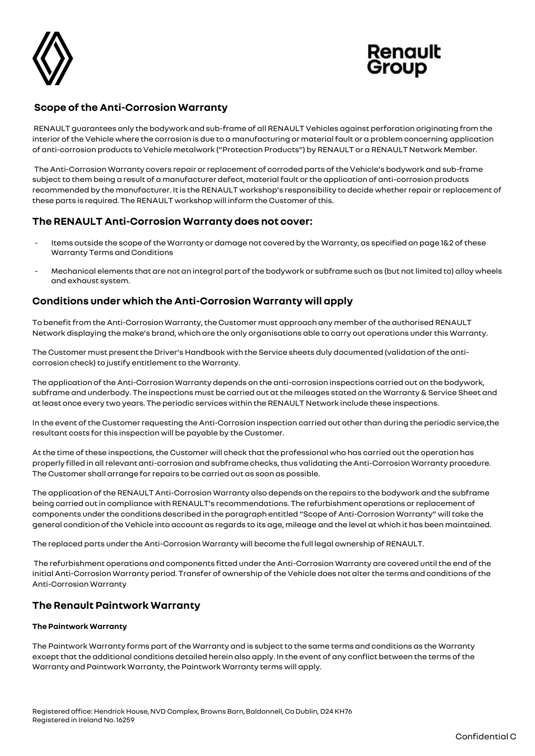



# **Scope of the Anti-Corrosion Warranty**

RENAULT guarantees only the bodywork and sub-frame of all RENAULT Vehicles against perforation originating from the interior of the Vehicle where the corrosion is due to a manufacturing or material fault or a problem concerning application of anti-corrosion products to Vehicle metalwork ("Protection Products") by RENAULT or a RENAULT Network Member.

The Anti-Corrosion Warranty covers repair or replacement of corroded parts of the Vehicle's bodywork and sub-frame subject to them being a result of a manufacturer defect, material fault or the application of anti-corrosion products recommended by the manufacturer. It is the RENAULT workshop's responsibility to decide whether repair or replacement of these parts is required. The RENAULT workshop will inform the Customer of this.

# **The RENAULT Anti-Corrosion Warranty does not cover:**

- Items outside the scope of the Warranty or damage not covered by the Warranty, as specified on page 1&2 of these Warranty Terms and Conditions
- Mechanical elements that are not an integral part of the bodywork or subframe such as (but not limited to) alloy wheels and exhaust system.

# **Conditions under which the Anti-Corrosion Warranty will apply**

To benefit from the Anti-Corrosion Warranty, the Customer must approach any member of the authorised RENAULT Network displaying the make's brand, which are the only organisations able to carry out operations under this Warranty.

The Customer must present the Driver's Handbook with the Service sheets duly documented (validation of the anticorrosion check) to justify entitlement to the Warranty.

The application of the Anti-Corrosion Warranty depends on the anti-corrosion inspections carried out on the bodywork, subframe and underbody. The inspections must be carried out at the mileages stated on the Warranty & Service Sheet and at least once every two years. The periodic services within the RENAULT Network include these inspections.

In the event of the Customer requesting the Anti-Corrosion inspection carried out other than during the periodic service,the resultant costs for this inspection will be payable by the Customer.

At the time of these inspections, the Customer will check that the professional who has carried out the operation has properly filled in all relevant anti-corrosion and subframe checks, thus validating the Anti-Corrosion Warranty procedure. The Customer shall arrange for repairs to be carried out as soon as possible.

The application of the RENAULT Anti-Corrosion Warranty also depends on the repairs to the bodywork and the subframe being carried out in compliance with RENAULT's recommendations. The refurbishment operations or replacement of components under the conditions described in the paragraph entitled "Scope of Anti-Corrosion Warranty" will take the general condition of the Vehicle into account as regards to its age, mileage and the level at which it has been maintained.

The replaced parts under the Anti-Corrosion Warranty will become the full legal ownership of RENAULT.

The refurbishment operations and components fitted under the Anti-Corrosion Warranty are covered until the end of the initial Anti-Corrosion Warranty period. Transfer of ownership of the Vehicle does not alter the terms and conditions of the Anti-Corrosion Warranty

# **The Renault Paintwork Warranty**

### **The Paintwork Warranty**

The Paintwork Warranty forms part of the Warranty and is subject to the same terms and conditions as the Warranty except that the additional conditions detailed herein also apply. In the event of any conflict between the terms of the Warranty and Paintwork Warranty, the Paintwork Warranty terms will apply.